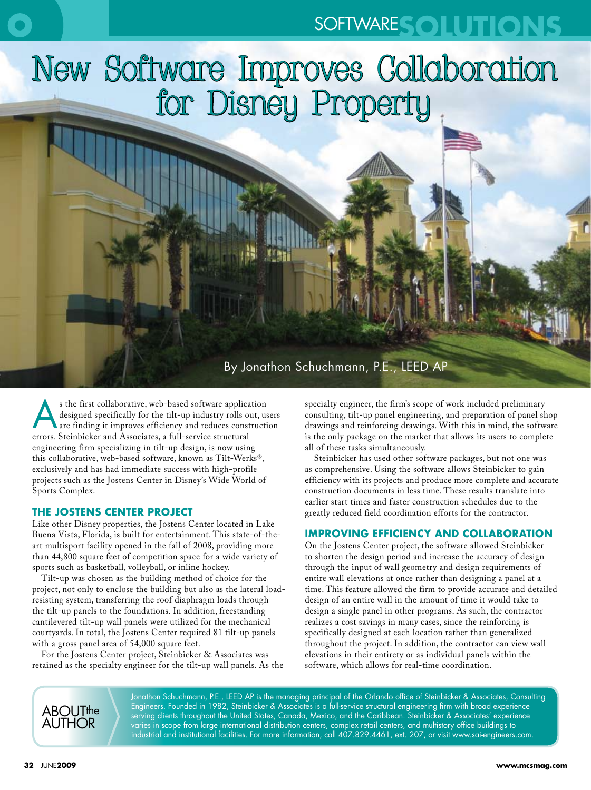# SOFTWARE**SOLUTIONS**



### By Jonathon Schuchmann, P.E., LEED AP

s the first collaborative, web-based software application<br>designed specifically for the tilt-up industry rolls out, us<br>are finding it improves efficiency and reduces construction<br>states of the construction of the construct designed specifically for the tilt-up industry rolls out, users are finding it improves efficiency and reduces construction errors. Steinbicker and Associates, a full-service structural engineering firm specializing in tilt-up design, is now using this collaborative, web-based software, known as Tilt-Werks®, exclusively and has had immediate success with high-profile projects such as the Jostens Center in Disney's Wide World of Sports Complex.

#### **THE JOSTENS CENTER PROJECT**

Like other Disney properties, the Jostens Center located in Lake Buena Vista, Florida, is built for entertainment. This state-of-theart multisport facility opened in the fall of 2008, providing more than 44,800 square feet of competition space for a wide variety of sports such as basketball, volleyball, or inline hockey.

Tilt-up was chosen as the building method of choice for the project, not only to enclose the building but also as the lateral loadresisting system, transferring the roof diaphragm loads through the tilt-up panels to the foundations. In addition, freestanding cantilevered tilt-up wall panels were utilized for the mechanical courtyards. In total, the Jostens Center required 81 tilt-up panels with a gross panel area of 54,000 square feet.

For the Jostens Center project, Steinbicker & Associates was retained as the specialty engineer for the tilt-up wall panels. As the

specialty engineer, the firm's scope of work included preliminary consulting, tilt-up panel engineering, and preparation of panel shop drawings and reinforcing drawings. With this in mind, the software is the only package on the market that allows its users to complete all of these tasks simultaneously.

Steinbicker has used other software packages, but not one was as comprehensive. Using the software allows Steinbicker to gain efficiency with its projects and produce more complete and accurate construction documents in less time. These results translate into earlier start times and faster construction schedules due to the greatly reduced field coordination efforts for the contractor.

#### **IMPROVING EFFICIENCY AND COLLABORATION**

On the Jostens Center project, the software allowed Steinbicker to shorten the design period and increase the accuracy of design through the input of wall geometry and design requirements of entire wall elevations at once rather than designing a panel at a time. This feature allowed the firm to provide accurate and detailed design of an entire wall in the amount of time it would take to design a single panel in other programs. As such, the contractor realizes a cost savings in many cases, since the reinforcing is specifically designed at each location rather than generalized throughout the project. In addition, the contractor can view wall elevations in their entirety or as individual panels within the software, which allows for real-time coordination.

Jonathon Schuchmann, P.E., LEED AP is the managing principal of the Orlando office of Steinbicker & Associates, Consulting Engineers. Founded in 1982, Steinbicker & Associates is a full-service structural engineering firm with broad experience serving clients throughout the United States, Canada, Mexico, and the Caribbean. Steinbicker & Associates' experience varies in scope from large international distribution centers, complex retail centers, and multistory office buildings to industrial and institutional facilities. For more information, call 407.829.4461, ext. 207, or visit www.sai-engineers.com.

ABOUTthe Author